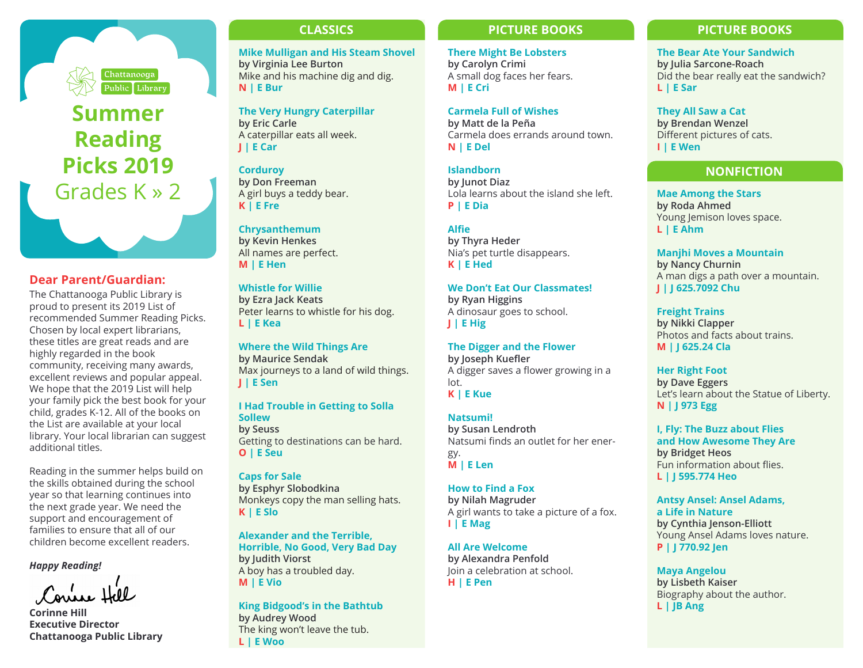

**Summer Reading Picks 2019** Grades K » 2

#### **Dear Parent/Guardian:**

The Chattanooga Public Library is proud to present its 2019 List of recommended Summer Reading Picks. Chosen by local expert librarians, these titles are great reads and are highly regarded in the book community, receiving many awards, excellent reviews and popular appeal. We hope that the 2019 List will help your family pick the best book for your child, grades K-12. All of the books on the List are available at your local library. Your local librarian can suggest additional titles.

Reading in the summer helps build on the skills obtained during the school year so that learning continues into the next grade year. We need the support and encouragement of families to ensure that all of our children become excellent readers.

*Happy Reading!*

Course Hill

**Corinne Hill Executive Director Chattanooga Public Library**

#### **CLASSICS**

**Mike Mulligan and His Steam Shovel by Virginia Lee Burton** Mike and his machine dig and dig. **N | E Bur**

**The Very Hungry Caterpillar by Eric Carle** A caterpillar eats all week. **J | E Car**

**Corduroy by Don Freeman** A girl buys a teddy bear. **K | E Fre**

**Chrysanthemum by Kevin Henkes** All names are perfect. **M | E Hen**

**Whistle for Willie by Ezra Jack Keats** Peter learns to whistle for his dog. **L | E Kea**

**Where the Wild Things Are by Maurice Sendak** Max journeys to a land of wild things. **J | E Sen**

#### **I Had Trouble in Getting to Solla Sollew by Seuss**

Getting to destinations can be hard. **O | E Seu**

**Caps for Sale by Esphyr Slobodkina** Monkeys copy the man selling hats. **K | E Slo**

**Alexander and the Terrible, Horrible, No Good, Very Bad Day by Judith Viorst** A boy has a troubled day. **M | E Vio**

**King Bidgood's in the Bathtub by Audrey Wood** The king won't leave the tub. **L | E Woo**

**There Might Be Lobsters by Carolyn Crimi** A small dog faces her fears. **M | E Cri**

**Carmela Full of Wishes by Matt de la Peña** Carmela does errands around town. **N | E Del**

**Islandborn by Junot Diaz** Lola learns about the island she left. **P | E Dia**

**Alfie by Thyra Heder** Nia's pet turtle disappears. **K | E Hed**

**We Don't Eat Our Classmates! by Ryan Higgins** A dinosaur goes to school. **J | E Hig**

**The Digger and the Flower by Joseph Kuefler** A digger saves a flower growing in a lot. **K | E Kue**

**Natsumi! by Susan Lendroth** Natsumi finds an outlet for her energy. **M | E Len**

**How to Find a Fox by Nilah Magruder** A girl wants to take a picture of a fox. **I | E Mag**

**All Are Welcome by Alexandra Penfold** Join a celebration at school. **H | E Pen**

#### **PICTURE BOOKS PICTURE BOOKS**

**The Bear Ate Your Sandwich by Julia Sarcone-Roach** Did the bear really eat the sandwich? **L | E Sar**

**They All Saw a Cat by Brendan Wenzel** Different pictures of cats. **I | E Wen**

# **NONFICTION**

**Mae Among the Stars by Roda Ahmed** Young Jemison loves space. **L | E Ahm**

**Manjhi Moves a Mountain by Nancy Churnin** A man digs a path over a mountain. **J | J 625.7092 Chu**

**Freight Trains by Nikki Clapper** Photos and facts about trains. **M | J 625.24 Cla**

**Her Right Foot by Dave Eggers** Let's learn about the Statue of Liberty. **N | J 973 Egg**

**I, Fly: The Buzz about Flies and How Awesome They Are by Bridget Heos** Fun information about flies. **L | J 595.774 Heo**

**Antsy Ansel: Ansel Adams, a Life in Nature by Cynthia Jenson-Elliott** Young Ansel Adams loves nature. **P | J 770.92 Jen**

**Maya Angelou by Lisbeth Kaiser** Biography about the author. **L | JB Ang**